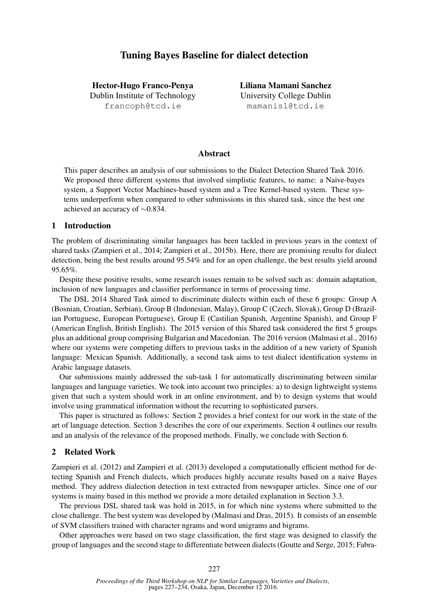# Tuning Bayes Baseline for dialect detection

Hector-Hugo Franco-Penya Dublin Institute of Technology francoph@tcd.ie

Liliana Mamani Sanchez University College Dublin mamanisl@tcd.ie

### Abstract

This paper describes an analysis of our submissions to the Dialect Detection Shared Task 2016. We proposed three different systems that involved simplistic features, to name: a Naive-bayes system, a Support Vector Machines-based system and a Tree Kernel-based system. These systems underperform when compared to other submissions in this shared task, since the best one achieved an accuracy of ∼0.834.

# 1 Introduction

The problem of discriminating similar languages has been tackled in previous years in the context of shared tasks (Zampieri et al., 2014; Zampieri et al., 2015b). Here, there are promising results for dialect detection, being the best results around 95.54% and for an open challenge, the best results yield around 95.65%.

Despite these positive results, some research issues remain to be solved such as: domain adaptation, inclusion of new languages and classifier performance in terms of processing time.

The DSL 2014 Shared Task aimed to discriminate dialects within each of these 6 groups: Group A (Bosnian, Croatian, Serbian), Group B (Indonesian, Malay), Group C (Czech, Slovak), Group D (Brazilian Portuguese, European Portuguese), Group E (Castilian Spanish, Argentine Spanish), and Group F (American English, British English). The 2015 version of this Shared task considered the first 5 groups plus an additional group comprising Bulgarian and Macedonian. The 2016 version (Malmasi et al., 2016) where our systems were competing differs to previous tasks in the addition of a new variety of Spanish language: Mexican Spanish. Additionally, a second task aims to test dialect identification systems in Arabic language datasets.

Our submissions mainly addressed the sub-task 1 for automatically discriminating between similar languages and language varieties. We took into account two principles: a) to design lightweight systems given that such a system should work in an online environment, and b) to design systems that would involve using grammatical information without the recurring to sophisticated parsers.

This paper is structured as follows: Section 2 provides a brief context for our work in the state of the art of language detection. Section 3 describes the core of our experiments. Section 4 outlines our results and an analysis of the relevance of the proposed methods. Finally, we conclude with Section 6.

### 2 Related Work

Zampieri et al. (2012) and Zampieri et al. (2013) developed a computationally efficient method for detecting Spanish and French dialects, which produces highly accurate results based on a naive Bayes method. They address dialection detection in text extracted from newspaper articles. Since one of our systems is mainy based in this method we provide a more detailed explanation in Section 3.3.

The previous DSL shared task was hold in 2015, in for which nine systems where submitted to the close challenge. The best system was developed by (Malmasi and Dras, 2015). It consists of an ensemble of SVM classifiers trained with character ngrams and word unigrams and bigrams.

Other approaches were based on two stage classification, the first stage was designed to classify the group of languages and the second stage to differentiate between dialects (Goutte and Serge, 2015; Fabra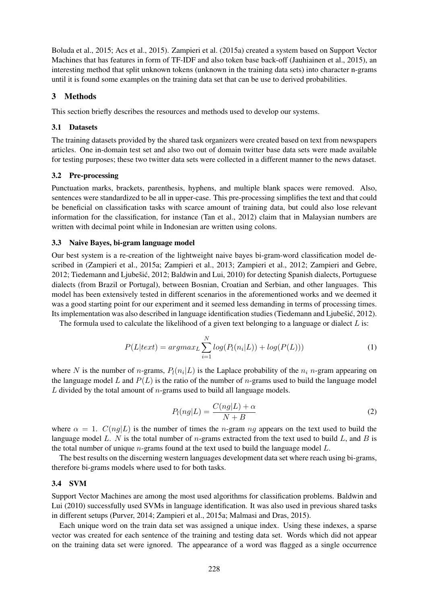Boluda et al., 2015; Acs et al., 2015). Zampieri et al. (2015a) created a system based on Support Vector Machines that has features in form of TF-IDF and also token base back-off (Jauhiainen et al., 2015), an interesting method that split unknown tokens (unknown in the training data sets) into character n-grams until it is found some examples on the training data set that can be use to derived probabilities.

# 3 Methods

This section briefly describes the resources and methods used to develop our systems.

#### 3.1 Datasets

The training datasets provided by the shared task organizers were created based on text from newspapers articles. One in-domain test set and also two out of domain twitter base data sets were made available for testing purposes; these two twitter data sets were collected in a different manner to the news dataset.

### 3.2 Pre-processing

Punctuation marks, brackets, parenthesis, hyphens, and multiple blank spaces were removed. Also, sentences were standardized to be all in upper-case. This pre-processing simplifies the text and that could be beneficial on classification tasks with scarce amount of training data, but could also lose relevant information for the classification, for instance (Tan et al., 2012) claim that in Malaysian numbers are written with decimal point while in Indonesian are written using colons.

#### 3.3 Naive Bayes, bi-gram language model

Our best system is a re-creation of the lightweight naive bayes bi-gram-word classification model described in (Zampieri et al., 2015a; Zampieri et al., 2013; Zampieri et al., 2012; Zampieri and Gebre, 2012; Tiedemann and Ljubešić, 2012; Baldwin and Lui, 2010) for detecting Spanish dialects, Portuguese dialects (from Brazil or Portugal), between Bosnian, Croatian and Serbian, and other languages. This model has been extensively tested in different scenarios in the aforementioned works and we deemed it was a good starting point for our experiment and it seemed less demanding in terms of processing times. Its implementation was also described in language identification studies (Tiedemann and Ljubešić, 2012).

The formula used to calculate the likelihood of a given text belonging to a language or dialect  $L$  is:

$$
P(L|text) = argmax_{L} \sum_{i=1}^{N} log(P_l(n_i|L)) + log(P(L)))
$$
\n(1)

where N is the number of *n*-grams,  $P_l(n_i|L)$  is the Laplace probability of the  $n_i$  *n*-gram appearing on the language model L and  $P(L)$  is the ratio of the number of n-grams used to build the language model L divided by the total amount of *n*-grams used to build all language models.

$$
P_l(ng|L) = \frac{C(ng|L) + \alpha}{N + B} \tag{2}
$$

where  $\alpha = 1$ .  $C(nq|L)$  is the number of times the *n*-gram ng appears on the text used to build the language model L. N is the total number of n-grams extracted from the text used to build L, and B is the total number of unique  $n$ -grams found at the text used to build the language model  $L$ .

The best results on the discerning western languages development data set where reach using bi-grams, therefore bi-grams models where used to for both tasks.

### 3.4 SVM

Support Vector Machines are among the most used algorithms for classification problems. Baldwin and Lui (2010) successfully used SVMs in language identification. It was also used in previous shared tasks in different setups (Purver, 2014; Zampieri et al., 2015a; Malmasi and Dras, 2015).

Each unique word on the train data set was assigned a unique index. Using these indexes, a sparse vector was created for each sentence of the training and testing data set. Words which did not appear on the training data set were ignored. The appearance of a word was flagged as a single occurrence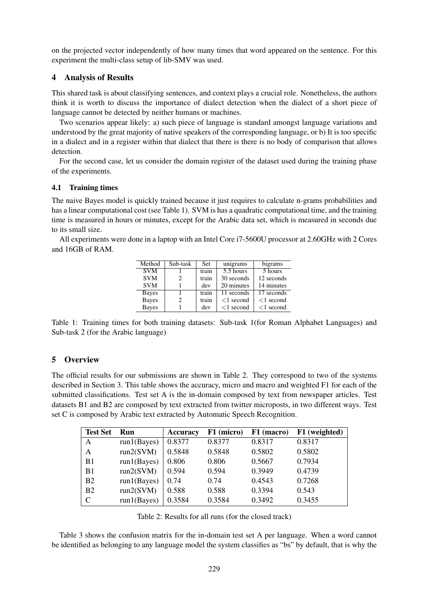on the projected vector independently of how many times that word appeared on the sentence. For this experiment the multi-class setup of lib-SMV was used.

# 4 Analysis of Results

This shared task is about classifying sentences, and context plays a crucial role. Nonetheless, the authors think it is worth to discuss the importance of dialect detection when the dialect of a short piece of language cannot be detected by neither humans or machines.

Two scenarios appear likely: a) such piece of language is standard amongst language variations and understood by the great majority of native speakers of the corresponding language, or b) It is too specific in a dialect and in a register within that dialect that there is there is no body of comparison that allows detection.

For the second case, let us consider the domain register of the dataset used during the training phase of the experiments.

# 4.1 Training times

The naive Bayes model is quickly trained because it just requires to calculate n-grams probabilities and has a linear computational cost (see Table 1). SVM is has a quadratic computational time, and the training time is measured in hours or minutes, except for the Arabic data set, which is measured in seconds due to its small size.

All experiments were done in a laptop with an Intel Core i7-5600U processor at 2.60GHz with 2 Cores and 16GB of RAM.

| Method       | Sub-task | <b>Set</b> | unigrams        | bigrams         |
|--------------|----------|------------|-----------------|-----------------|
| <b>SVM</b>   |          | train      | 5.5 hours       | 5 hours         |
| <b>SVM</b>   |          | train      | 30 seconds      | 12 seconds      |
| <b>SVM</b>   |          | dev        | 20 minutes      | 14 minutes      |
| <b>Bayes</b> |          | train      | 11 seconds      | 17 seconds      |
| <b>Bayes</b> |          | train      | $\leq$ 1 second | $\leq$ 1 second |
| <b>Bayes</b> |          | dev        | $<$ 1 second    | $\leq$ 1 second |

Table 1: Training times for both training datasets: Sub-task 1(for Roman Alphabet Languages) and Sub-task 2 (for the Arabic language)

# 5 Overview

The official results for our submissions are shown in Table 2. They correspond to two of the systems described in Section 3. This table shows the accuracy, micro and macro and weighted F1 for each of the submitted classifications. Test set A is the in-domain composed by text from newspaper articles. Test datasets B1 and B2 are composed by text extracted from twitter microposts, in two different ways. Test set C is composed by Arabic text extracted by Automatic Speech Recognition.

| <b>Test Set</b> | <b>Run</b>  | <b>Accuracy</b> | F1 (micro) | F1 (macro) | F1 (weighted) |
|-----------------|-------------|-----------------|------------|------------|---------------|
| Α               | run1(Bayes) | 0.8377          | 0.8377     | 0.8317     | 0.8317        |
| A               | run2(SVM)   | 0.5848          | 0.5848     | 0.5802     | 0.5802        |
| B <sub>1</sub>  | run1(Bayes) | 0.806           | 0.806      | 0.5667     | 0.7934        |
| B <sub>1</sub>  | run2(SVM)   | 0.594           | 0.594      | 0.3949     | 0.4739        |
| B <sub>2</sub>  | run1(Bayes) | 0.74            | 0.74       | 0.4543     | 0.7268        |
| B2              | run2(SVM)   | 0.588           | 0.588      | 0.3394     | 0.543         |
| $\mathsf{C}$    | run1(Bayes) | 0.3584          | 0.3584     | 0.3492     | 0.3455        |

Table 2: Results for all runs (for the closed track)

Table 3 shows the confusion matrix for the in-domain test set A per language. When a word cannot be identified as belonging to any language model the system classifies as "bs" by default, that is why the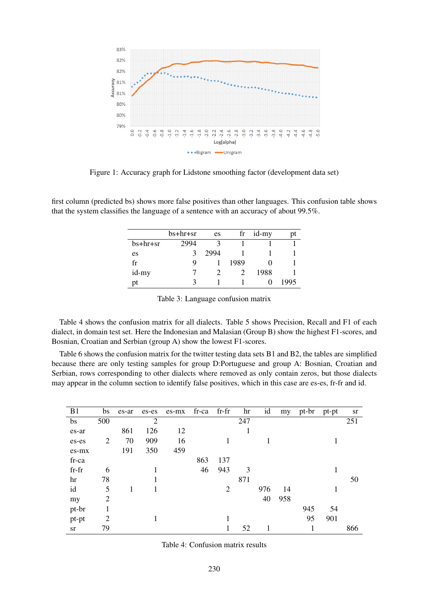

Figure 1: Accuracy graph for Lidstone smoothing factor (development data set)

first column (predicted bs) shows more false positives than other languages. This confusion table shows that the system classifies the language of a sentence with an accuracy of about 99.5%.

|            | $bs+hr+sr$ | es   | $_{\rm fr}$ | id-my | рt   |
|------------|------------|------|-------------|-------|------|
| $bs+hr+sr$ | 2994       |      |             |       |      |
| es         |            | 2994 |             |       |      |
| fr         | Q          |      | 1989        |       |      |
| id-my      |            |      |             | 1988  |      |
| pt         |            |      |             |       | 1995 |

Table 3: Language confusion matrix

Table 4 shows the confusion matrix for all dialects. Table 5 shows Precision, Recall and F1 of each dialect, in domain test set. Here the Indonesian and Malasian (Group B) show the highest F1-scores, and Bosnian, Croatian and Serbian (group A) show the lowest F1-scores.

Table 6 shows the confusion matrix for the twitter testing data sets B1 and B2, the tables are simplified because there are only testing samples for group D:Portuguese and group A: Bosnian, Croatian and Serbian, rows corresponding to other dialects where removed as only contain zeros, but those dialects may appear in the column section to identify false positives, which in this case are es-es, fr-fr and id.

| B1      | bs             | es-ar | es-es          | es-mx | fr-ca | $fr-fr$        | hr  | id  | my  | pt-br | pt-pt | <b>Sr</b> |
|---------|----------------|-------|----------------|-------|-------|----------------|-----|-----|-----|-------|-------|-----------|
| bs      | 500            |       | $\overline{2}$ |       |       |                | 247 |     |     |       |       | 251       |
| es-ar   |                | 861   | 126            | 12    |       |                | 1   |     |     |       |       |           |
| es-es   | 2              | 70    | 909            | 16    |       |                |     |     |     |       |       |           |
| es-mx   |                | 191   | 350            | 459   |       |                |     |     |     |       |       |           |
| fr-ca   |                |       |                |       | 863   | 137            |     |     |     |       |       |           |
| $fr-fr$ | 6              |       |                |       | 46    | 943            | 3   |     |     |       | 1     |           |
| hr      | 78             |       |                |       |       |                | 871 |     |     |       |       | 50        |
| id      | 5              | 1     |                |       |       | $\overline{2}$ |     | 976 | 14  |       |       |           |
| my      | $\overline{2}$ |       |                |       |       |                |     | 40  | 958 |       |       |           |
| pt-br   | 1              |       |                |       |       |                |     |     |     | 945   | 54    |           |
| pt-pt   | $\overline{2}$ |       | 1              |       |       | 1              |     |     |     | 95    | 901   |           |
| sr      | 79             |       |                |       |       |                | 52  |     |     | 1     |       | 866       |

Table 4: Confusion matrix results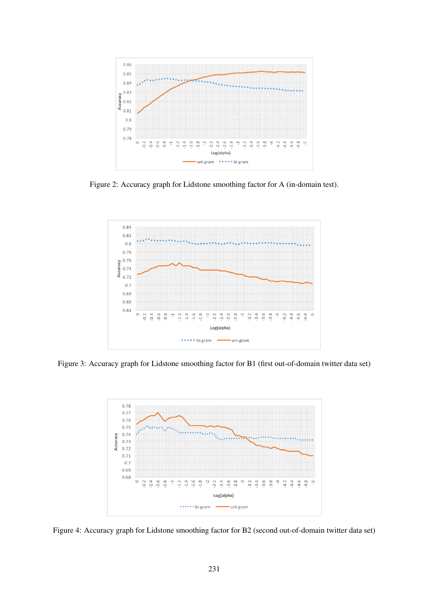

Figure 2: Accuracy graph for Lidstone smoothing factor for A (in-domain test).



Figure 3: Accuracy graph for Lidstone smoothing factor for B1 (first out-of-domain twitter data set)



Figure 4: Accuracy graph for Lidstone smoothing factor for B2 (second out-of-domain twitter data set)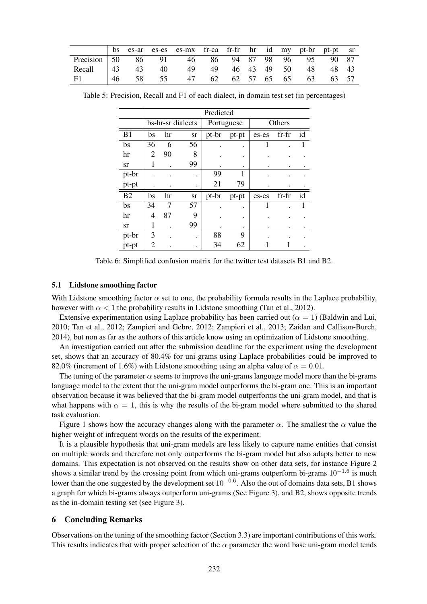|                                               |  | bs es-ar es-es es-mx fr-ca fr-fr hr id my pt-br pt-pt sr |  |  |  |  |
|-----------------------------------------------|--|----------------------------------------------------------|--|--|--|--|
| Precision 50 86 91 46 86 94 87 98 96 95 90 87 |  |                                                          |  |  |  |  |
| Recall   43 43 40 49 49 46 43 49 50 48 48 43  |  |                                                          |  |  |  |  |
| F1                                            |  | 46 58 55 47 62 62 57 65 65 63 63 57                      |  |  |  |  |

|                |                   | Predicted |    |            |       |        |         |    |  |  |  |
|----------------|-------------------|-----------|----|------------|-------|--------|---------|----|--|--|--|
|                | bs-hr-sr dialects |           |    | Portuguese |       | Others |         |    |  |  |  |
| B1             | bs                | hr        | sr | pt-br      | pt-pt | es-es  | $fr-fr$ | id |  |  |  |
| bs             | 36                | 6         | 56 |            |       |        |         |    |  |  |  |
| hr             | 2                 | 90        | 8  |            |       |        |         |    |  |  |  |
| <b>sr</b>      |                   |           | 99 |            |       |        |         |    |  |  |  |
| pt-br          |                   |           | ٠  | 99         |       |        |         |    |  |  |  |
| pt-pt          |                   |           | ٠  | 21         | 79    |        |         |    |  |  |  |
| B <sub>2</sub> | bs                | hr        | sr | pt-br      | pt-pt | es-es  | $fr-fr$ | id |  |  |  |
| bs             | 34                | 7         | 57 |            |       | 1      |         |    |  |  |  |
| hr             | 4                 | 87        | 9  |            |       |        |         |    |  |  |  |
| <b>sr</b>      |                   |           | 99 |            |       |        |         |    |  |  |  |
| pt-br          | 3                 |           | ٠  | 88         | 9     |        |         |    |  |  |  |
| pt-pt          | 2                 |           | ٠  | 34         | 62    |        |         |    |  |  |  |

Table 5: Precision, Recall and F1 of each dialect, in domain test set (in percentages)

Table 6: Simplified confusion matrix for the twitter test datasets B1 and B2.

#### 5.1 Lidstone smoothing factor

With Lidstone smoothing factor  $\alpha$  set to one, the probability formula results in the Laplace probability, however with  $\alpha < 1$  the probability results in Lidstone smoothing (Tan et al., 2012).

Extensive experimentation using Laplace probability has been carried out ( $\alpha = 1$ ) (Baldwin and Lui, 2010; Tan et al., 2012; Zampieri and Gebre, 2012; Zampieri et al., 2013; Zaidan and Callison-Burch, 2014), but non as far as the authors of this article know using an optimization of Lidstone smoothing.

An investigation carried out after the submission deadline for the experiment using the development set, shows that an accuracy of 80.4% for uni-grams using Laplace probabilities could be improved to 82.0% (increment of 1.6%) with Lidstone smoothing using an alpha value of  $\alpha = 0.01$ .

The tuning of the parameter  $\alpha$  seems to improve the uni-grams language model more than the bi-grams language model to the extent that the uni-gram model outperforms the bi-gram one. This is an important observation because it was believed that the bi-gram model outperforms the uni-gram model, and that is what happens with  $\alpha = 1$ , this is why the results of the bi-gram model where submitted to the shared task evaluation.

Figure 1 shows how the accuracy changes along with the parameter  $\alpha$ . The smallest the  $\alpha$  value the higher weight of infrequent words on the results of the experiment.

It is a plausible hypothesis that uni-gram models are less likely to capture name entities that consist on multiple words and therefore not only outperforms the bi-gram model but also adapts better to new domains. This expectation is not observed on the results show on other data sets, for instance Figure 2 shows a similar trend by the crossing point from which uni-grams outperform bi-grams  $10^{-1.6}$  is much lower than the one suggested by the development set  $10^{-0.6}$ . Also the out of domains data sets, B1 shows a graph for which bi-grams always outperform uni-grams (See Figure 3), and B2, shows opposite trends as the in-domain testing set (see Figure 3).

#### 6 Concluding Remarks

Observations on the tuning of the smoothing factor (Section 3.3) are important contributions of this work. This results indicates that with proper selection of the  $\alpha$  parameter the word base uni-gram model tends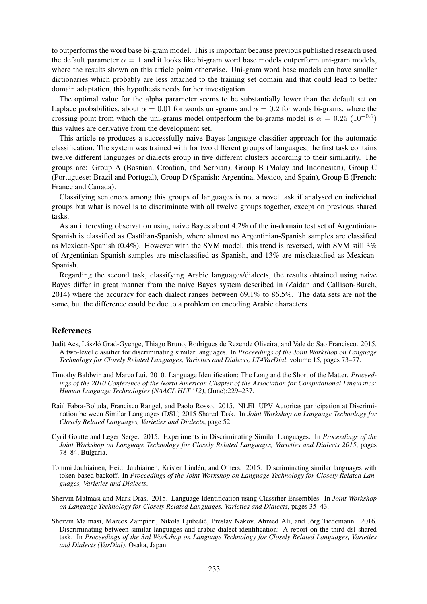to outperforms the word base bi-gram model. This is important because previous published research used the default parameter  $\alpha = 1$  and it looks like bi-gram word base models outperform uni-gram models, where the results shown on this article point otherwise. Uni-gram word base models can have smaller dictionaries which probably are less attached to the training set domain and that could lead to better domain adaptation, this hypothesis needs further investigation.

The optimal value for the alpha parameter seems to be substantially lower than the default set on Laplace probabilities, about  $\alpha = 0.01$  for words uni-grams and  $\alpha = 0.2$  for words bi-grams, where the crossing point from which the uni-grams model outperform the bi-grams model is  $\alpha = 0.25 \ (10^{-0.6})$ this values are derivative from the development set.

This article re-produces a successfully naive Bayes language classifier approach for the automatic classification. The system was trained with for two different groups of languages, the first task contains twelve different languages or dialects group in five different clusters according to their similarity. The groups are: Group A (Bosnian, Croatian, and Serbian), Group B (Malay and Indonesian), Group C (Portuguese: Brazil and Portugal), Group D (Spanish: Argentina, Mexico, and Spain), Group E (French: France and Canada).

Classifying sentences among this groups of languages is not a novel task if analysed on individual groups but what is novel is to discriminate with all twelve groups together, except on previous shared tasks.

As an interesting observation using naive Bayes about 4.2% of the in-domain test set of Argentinian-Spanish is classified as Castilian-Spanish, where almost no Argentinian-Spanish samples are classified as Mexican-Spanish (0.4%). However with the SVM model, this trend is reversed, with SVM still 3% of Argentinian-Spanish samples are misclassified as Spanish, and 13% are misclassified as Mexican-Spanish.

Regarding the second task, classifying Arabic languages/dialects, the results obtained using naive Bayes differ in great manner from the naive Bayes system described in (Zaidan and Callison-Burch, 2014) where the accuracy for each dialect ranges between 69.1% to 86.5%. The data sets are not the same, but the difference could be due to a problem on encoding Arabic characters.

### References

- Judit Acs, László Grad-Gyenge, Thiago Bruno, Rodrigues de Rezende Oliveira, and Vale do Sao Francisco. 2015. A two-level classifier for discriminating similar languages. In *Proceedings of the Joint Workshop on Language Technology for Closely Related Languages, Varieties and Dialects, LT4VarDial*, volume 15, pages 73–77.
- Timothy Baldwin and Marco Lui. 2010. Language Identification: The Long and the Short of the Matter. *Proceedings of the 2010 Conference of the North American Chapter of the Association for Computational Linguistics: Human Language Technologies (NAACL HLT '12)*, (June):229–237.
- Raul Fabra-Boluda, Francisco Rangel, and Paolo Rosso. 2015. NLEL UPV Autoritas participation at Discrimi- ¨ nation between Similar Languages (DSL) 2015 Shared Task. In *Joint Workshop on Language Technology for Closely Related Languages, Varieties and Dialects*, page 52.
- Cyril Goutte and Leger Serge. 2015. Experiments in Discriminating Similar Languages. In *Proceedings of the Joint Workshop on Language Technology for Closely Related Languages, Varieties and Dialects 2015*, pages 78–84, Bulgaria.
- Tommi Jauhiainen, Heidi Jauhiainen, Krister Linden, and Others. 2015. Discriminating similar languages with ´ token-based backoff. In *Proceedings of the Joint Workshop on Language Technology for Closely Related Languages, Varieties and Dialects*.
- Shervin Malmasi and Mark Dras. 2015. Language Identification using Classifier Ensembles. In *Joint Workshop on Language Technology for Closely Related Languages, Varieties and Dialects*, pages 35–43.
- Shervin Malmasi, Marcos Zampieri, Nikola Ljubešić, Preslav Nakov, Ahmed Ali, and Jörg Tiedemann. 2016. Discriminating between similar languages and arabic dialect identification: A report on the third dsl shared task. In *Proceedings of the 3rd Workshop on Language Technology for Closely Related Languages, Varieties and Dialects (VarDial)*, Osaka, Japan.